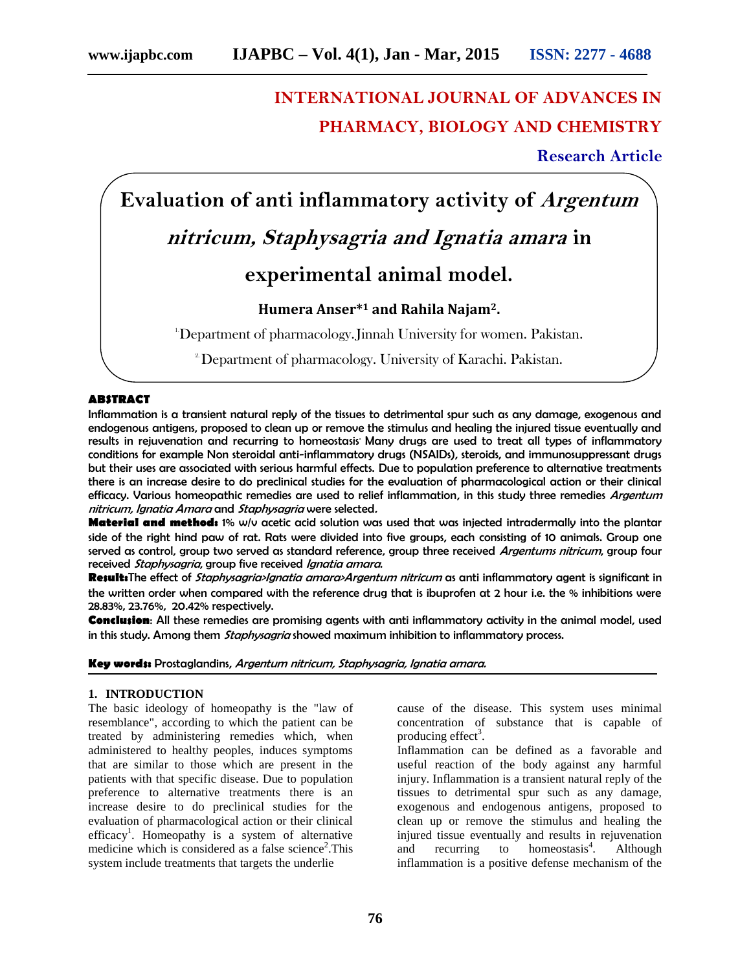## **INTERNATIONAL JOURNAL OF ADVANCES IN PHARMACY, BIOLOGY AND CHEMISTRY**

**Research Article**

# **Evaluation of anti inflammatory activity of** *Argentum nitricum, Staphysagria and Ignatia amara* **in experimental animal model.**

### **Humera Anser\*<sup>1</sup> and Rahila Najam2.**

<sup>1</sup>Department of pharmacology. Jinnah University for women. Pakistan.

<sup>2</sup> Department of pharmacology. University of Karachi. Pakistan.

#### **ABSTRACT**

Inflammation is a transient natural reply of the tissues to detrimental spur such as any damage, exogenous and endogenous antigens, proposed to clean up or remove the stimulus and healing the injured tissue eventually and results in rejuvenation and recurring to homeostasis' Many drugs are used to treat all types of inflammatory conditions for example Non steroidal anti-inflammatory drugs (NSAIDs), steroids, and immunosuppressant drugs but their uses are associated with serious harmful effects. Due to population preference to alternative treatments there is an increase desire to do preclinical studies for the evaluation of pharmacological action or their clinical efficacy. Various homeopathic remedies are used to relief inflammation, in this study three remedies *Argentum nitricum, Ignatia Amara* and *Staphysagria* were selected*.*

**Material and method:** 1% w/v acetic acid solution was used that was injected intradermally into the plantar side of the right hind paw of rat. Rats were divided into five groups, each consisting of 10 animals. Group one served as control, group two served as standard reference, group three received *Argentums nitricum*, group four received *Staphysagria*, group five received *Ignatia amara*.

**Result:**The effect of *Staphysagria>Ignatia amara>Argentum nitricum* as anti inflammatory agent is significant in the written order when compared with the reference drug that is ibuprofen at 2 hour i.e. the % inhibitions were 28.83%, 23.76%, 20.42% respectively.

**Conclusion**: All these remedies are promising agents with anti inflammatory activity in the animal model, used in this study. Among them *Staphysagria* showed maximum inhibition to inflammatory process.

#### **Key words:** Prostaglandins, *Argentum nitricum, Staphysagria, Ignatia amara.*

#### **1. INTRODUCTION**

The basic ideology of homeopathy is the "law of resemblance", according to which the patient can be treated by administering remedies which, when administered to healthy peoples, induces symptoms that are similar to those which are present in the patients with that specific disease. Due to population preference to alternative treatments there is an increase desire to do preclinical studies for the evaluation of pharmacological action or their clinical efficacy<sup>1</sup>. Homeopathy is a system of alternative medicine which is considered as a false science<sup>2</sup>. This system include treatments that targets the underlie

cause of the disease. This system uses minimal concentration of substance that is capable of producing effect<sup>3</sup>.

Inflammation can be defined as a favorable and useful reaction of the body against any harmful injury. Inflammation is a transient natural reply of the tissues to detrimental spur such as any damage, exogenous and endogenous antigens, proposed to clean up or remove the stimulus and healing the injured tissue eventually and results in rejuvenation and recurring to homeostasis<sup>4</sup>. . Although inflammation is a positive defense mechanism of the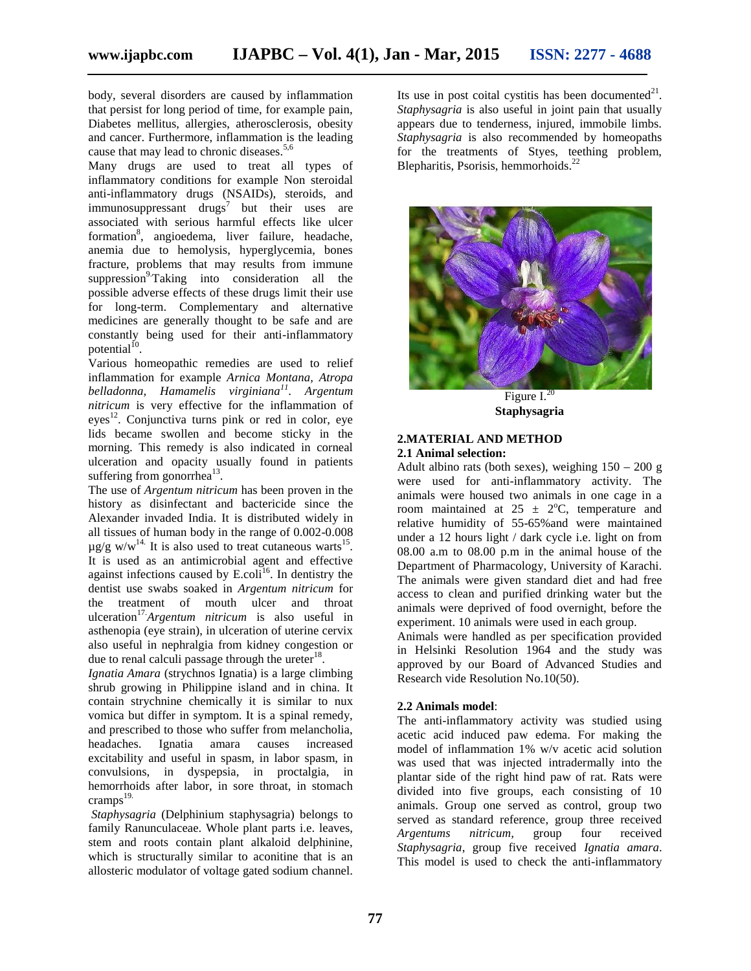body, several disorders are caused by inflammation that persist for long period of time, for example pain, Diabetes mellitus, allergies, atherosclerosis, obesity and cancer. Furthermore, inflammation is the leading cause that may lead to chronic diseases.<sup>5,6</sup>

Many drugs are used to treat all types of inflammatory conditions for example Non steroidal anti-inflammatory drugs (NSAIDs), steroids, and  $immunosuppression$  drugs<sup>7</sup> but their uses are associated with serious harmful effects like ulcer formation<sup>8</sup>, angioedema, liver failure, headache, anemia due to hemolysis, hyperglycemia, bones fracture, problems that may results from immune suppression $^{9}$ Taking into consideration all the possible adverse effects of these drugs limit their use for long-term. Complementary and alternative medicines are generally thought to be safe and are constantly being used for their anti-inflammatory potential $^{10}$ .

Various homeopathic remedies are used to relief inflammation for example *Arnica Montana, Atropa belladonna, Hamamelis virginiana<sup>11</sup>* . *Argentum nitricum* is very effective for the inflammation of  $eyes<sup>12</sup>$ . Conjunctiva turns pink or red in color, eye lids became swollen and become sticky in the morning. This remedy is also indicated in corneal ulceration and opacity usually found in patients suffering from gonorrhea $^{13}$ .

The use of *Argentum nitricum* has been proven in the history as disinfectant and bactericide since the Alexander invaded India. It is distributed widely in all tissues of human body in the range of 0.002-0.008  $\mu$ g/g w/w<sup>14.</sup> It is also used to treat cutaneous warts<sup>15</sup>. It is used as an antimicrobial agent and effective against infections caused by  $E_{\text{.}}$  Coli<sup>16</sup>. In dentistry the dentist use swabs soaked in *Argentum nitricum* for the treatment of mouth ulcer and throat ulceration17.*Argentum nitricum* is also useful in asthenopia (eye strain), in ulceration of uterine cervix also useful in nephralgia from kidney congestion or due to renal calculi passage through the ureter $^{18}$ .

*Ignatia Amara* (strychnos Ignatia) is a large climbing shrub growing in Philippine island and in china. It contain strychnine chemically it is similar to nux vomica but differ in symptom. It is a spinal remedy, and prescribed to those who suffer from melancholia, headaches. Ignatia amara causes increased excitability and useful in spasm, in labor spasm, in convulsions, in dyspepsia, in proctalgia, in hemorrhoids after labor, in sore throat, in stomach  $c$ ramps $^{19}$ .

*Staphysagria* (Delphinium staphysagria) belongs to family Ranunculaceae. Whole plant parts i.e. leaves, stem and roots contain plant alkaloid delphinine, which is structurally similar to aconitine that is an allosteric modulator of voltage gated sodium channel.

Its use in post coital cystitis has been documented $2<sup>1</sup>$ . *Staphysagria* is also useful in joint pain that usually appears due to tenderness, injured, immobile limbs. *Staphysagria* is also recommended by homeopaths for the treatments of Styes, teething problem, Blepharitis, Psorisis, hemmorhoids. $^{22}$ 



Figure  $\overline{I}^{20}$ **Staphysagria**

#### **2.MATERIAL AND METHOD 2.1 Animal selection:**

Adult albino rats (both sexes), weighing  $150 - 200$  g were used for anti-inflammatory activity. The animals were housed two animals in one cage in a room maintained at  $25 \pm 2$ °C, temperature and relative humidity of 55-65%and were maintained under a 12 hours light / dark cycle i.e. light on from 08.00 a.m to 08.00 p.m in the animal house of the Department of Pharmacology, University of Karachi. The animals were given standard diet and had free access to clean and purified drinking water but the animals were deprived of food overnight, before the experiment. 10 animals were used in each group.

Animals were handled as per specification provided in Helsinki Resolution 1964 and the study was approved by our Board of Advanced Studies and Research vide Resolution No.10(50).

#### **2.2 Animals model**:

The anti-inflammatory activity was studied using acetic acid induced paw edema. For making the model of inflammation 1% w/v acetic acid solution was used that was injected intradermally into the plantar side of the right hind paw of rat. Rats were divided into five groups, each consisting of 10 animals. Group one served as control, group two served as standard reference, group three received *Argentums nitricum,* group four received *Staphysagria*, group five received *Ignatia amara*. This model is used to check the anti-inflammatory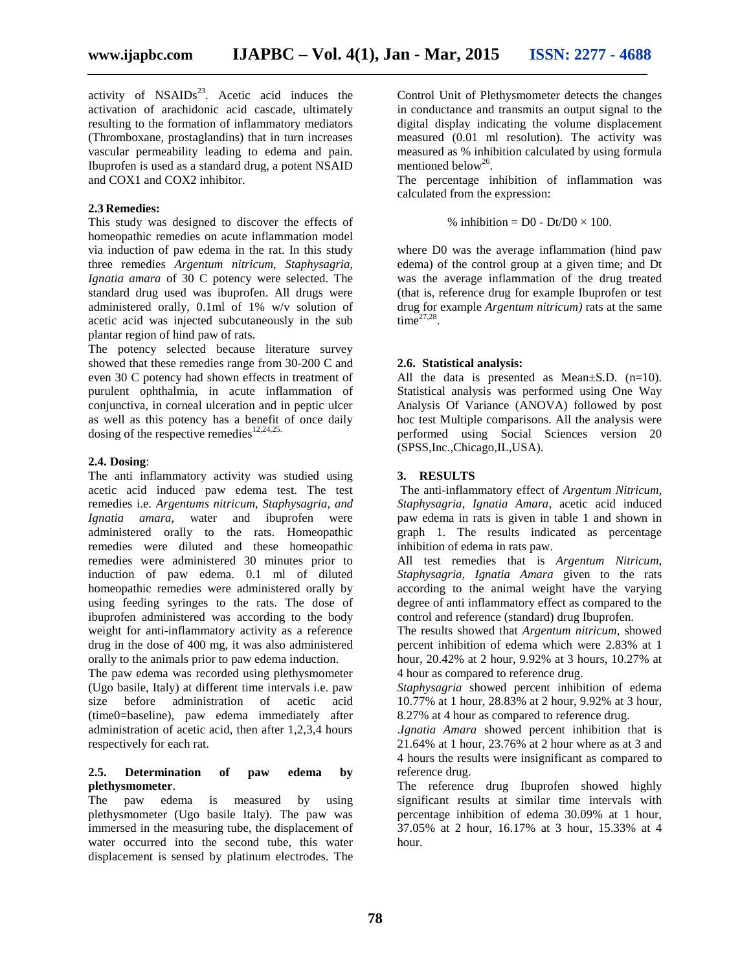activity of  $NSAIDs<sup>23</sup>$ . Acetic acid induces the activation of arachidonic acid cascade, ultimately resulting to the formation of inflammatory mediators (Thromboxane, prostaglandins) that in turn increases vascular permeability leading to edema and pain. Ibuprofen is used as a standard drug, a potent NSAID and COX1 and COX2 inhibitor.

#### **2.3 Remedies:**

This study was designed to discover the effects of homeopathic remedies on acute inflammation model via induction of paw edema in the rat. In this study three remedies *Argentum nitricum, Staphysagria, Ignatia amara* of 30 C potency were selected. The standard drug used was ibuprofen. All drugs were administered orally, 0.1ml of 1% w/v solution of acetic acid was injected subcutaneously in the sub plantar region of hind paw of rats.

The potency selected because literature survey showed that these remedies range from 30-200 C and even 30 C potency had shown effects in treatment of purulent ophthalmia, in acute inflammation of conjunctiva, in corneal ulceration and in peptic ulcer as well as this potency has a benefit of once daily dosing of the respective remedies<sup>12,24,25.</sup>

#### **2.4. Dosing**:

The anti inflammatory activity was studied using acetic acid induced paw edema test. The test remedies i.e. *Argentums nitricum, Staphysagria, and Ignatia amara,* water and ibuprofen were administered orally to the rats. Homeopathic remedies were diluted and these homeopathic remedies were administered 30 minutes prior to induction of paw edema. 0.1 ml of diluted homeopathic remedies were administered orally by using feeding syringes to the rats. The dose of ibuprofen administered was according to the body weight for anti-inflammatory activity as a reference drug in the dose of 400 mg, it was also administered orally to the animals prior to paw edema induction.

The paw edema was recorded using plethysmometer (Ugo basile, Italy) at different time intervals i.e. paw size before administration of acetic acid (time0=baseline), paw edema immediately after administration of acetic acid, then after 1,2,3,4 hours respectively for each rat.

#### **2.5. Determination of paw edema by plethysmometer**.

The paw edema is measured by using plethysmometer (Ugo basile Italy). The paw was immersed in the measuring tube, the displacement of water occurred into the second tube, this water displacement is sensed by platinum electrodes. The Control Unit of Plethysmometer detects the changes in conductance and transmits an output signal to the digital display indicating the volume displacement measured (0.01 ml resolution). The activity was measured as % inhibition calculated by using formula mentioned below<sup>26</sup>.

The percentage inhibition of inflammation was calculated from the expression:

% inhibition = 
$$
DO - Dt/DO \times 100
$$
.

where D0 was the average inflammation (hind paw edema) of the control group at a given time; and Dt was the average inflammation of the drug treated (that is, reference drug for example Ibuprofen or test drug for example *Argentum nitricum)* rats at the same  $time^{27,28}$ .

#### **2.6. Statistical analysis:**

All the data is presented as Mean±S.D. (n=10). Statistical analysis was performed using One Way Analysis Of Variance (ANOVA) followed by post hoc test Multiple comparisons. All the analysis were performed using Social Sciences version 20 (SPSS,Inc.,Chicago,IL,USA).

#### **3. RESULTS**

The anti-inflammatory effect of *Argentum Nitricum, Staphysagria, Ignatia Amara*, acetic acid induced paw edema in rats is given in table 1 and shown in graph 1. The results indicated as percentage inhibition of edema in rats paw.

All test remedies that is *Argentum Nitricum, Staphysagria, Ignatia Amara* given to the rats according to the animal weight have the varying degree of anti inflammatory effect as compared to the control and reference (standard) drug Ibuprofen.

The results showed that *Argentum nitricum,* showed percent inhibition of edema which were 2.83% at 1 hour, 20.42% at 2 hour, 9.92% at 3 hours, 10.27% at 4 hour as compared to reference drug.

*Staphysagria* showed percent inhibition of edema 10.77% at 1 hour, 28.83% at 2 hour, 9.92% at 3 hour, 8.27% at 4 hour as compared to reference drug.

.*Ignatia Amara* showed percent inhibition that is 21.64% at 1 hour, 23.76% at 2 hour where as at 3 and 4 hours the results were insignificant as compared to reference drug.

The reference drug Ibuprofen showed highly significant results at similar time intervals with percentage inhibition of edema 30.09% at 1 hour, 37.05% at 2 hour, 16.17% at 3 hour, 15.33% at 4 hour.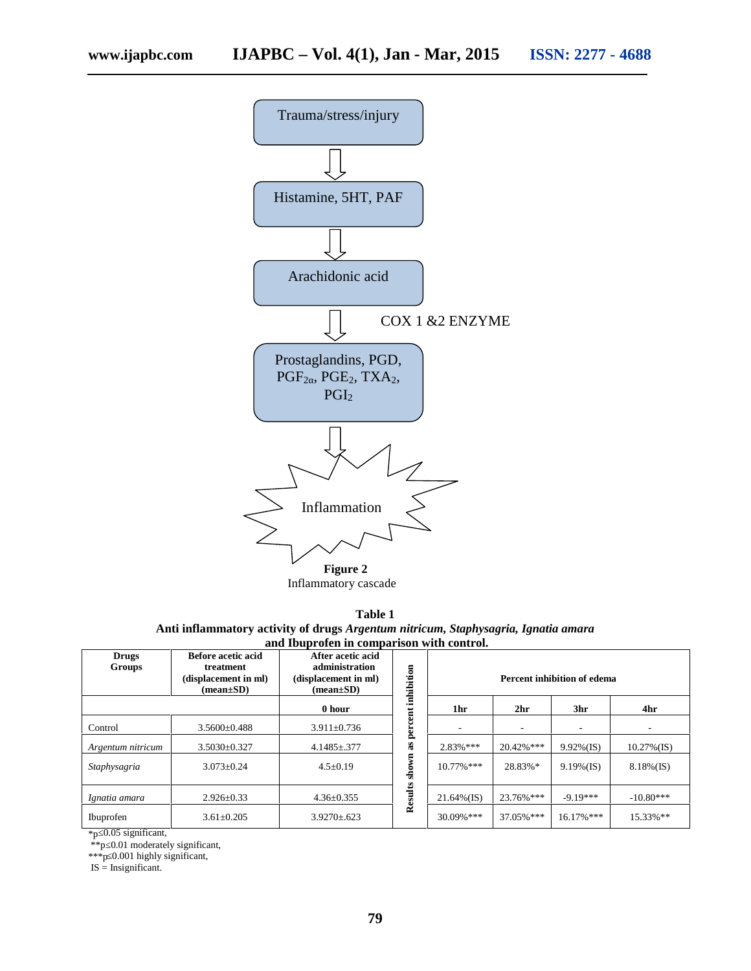

Inflammatory cascade

**Table 1 Anti inflammatory activity of drugs** *Argentum nitricum, Staphysagria, Ignatia amara* **and Ibuprofen in comparison with control.**

| <b>Drugs</b><br><b>Groups</b> | <b>Before acetic acid</b><br>treatment<br>(displacement in ml)<br>$(\text{mean}\pm S\textbf{D})$ | After acetic acid<br>administration<br>(displacement in ml)<br>$(\text{mean}\pm S\textbf{D})$ | inhibition          | Percent inhibition of edema |                 |               |                |
|-------------------------------|--------------------------------------------------------------------------------------------------|-----------------------------------------------------------------------------------------------|---------------------|-----------------------------|-----------------|---------------|----------------|
|                               |                                                                                                  | 0 hour                                                                                        |                     | 1hr                         | 2 <sub>hr</sub> | 3hr           | 4hr            |
| Control                       | $3.5600 \pm 0.488$                                                                               | $3.911 \pm 0.736$                                                                             | per                 |                             |                 |               |                |
| Argentum nitricum             | $3.5030 \pm 0.327$                                                                               | $4.1485 \pm .377$                                                                             | æ                   | $2.83%***$                  | $20.42\%$ ***   | $9.92\%$ (IS) | $10.27\%$ (IS) |
| Staphysagria                  | $3.073 \pm 0.24$                                                                                 | $4.5 \pm 0.19$                                                                                | $\sin$              | $10.77\%$ ***               | 28.83%*         | $9.19\%$ (IS) | $8.18\%(IS)$   |
| Ignatia amara                 | $2.926 \pm 0.33$                                                                                 | $4.36 \pm 0.355$                                                                              | $_{\rm{ults}}$<br>3 | $21.64\%$ (IS)              | 23.76%***       | $-9.19***$    | $-10.80***$    |
| Ibuprofen                     | $3.61 \pm 0.205$                                                                                 | $3.9270 \pm 623$                                                                              | ≃                   | 30.09%***                   | 37.05%***       | $16.17\%$ *** | 15.33%**       |

\*p≤0.05 significant,

\*\*p≤0.01 moderately significant,

\*\*\*p≤0.001 highly significant,

 $IS =$  Insignificant.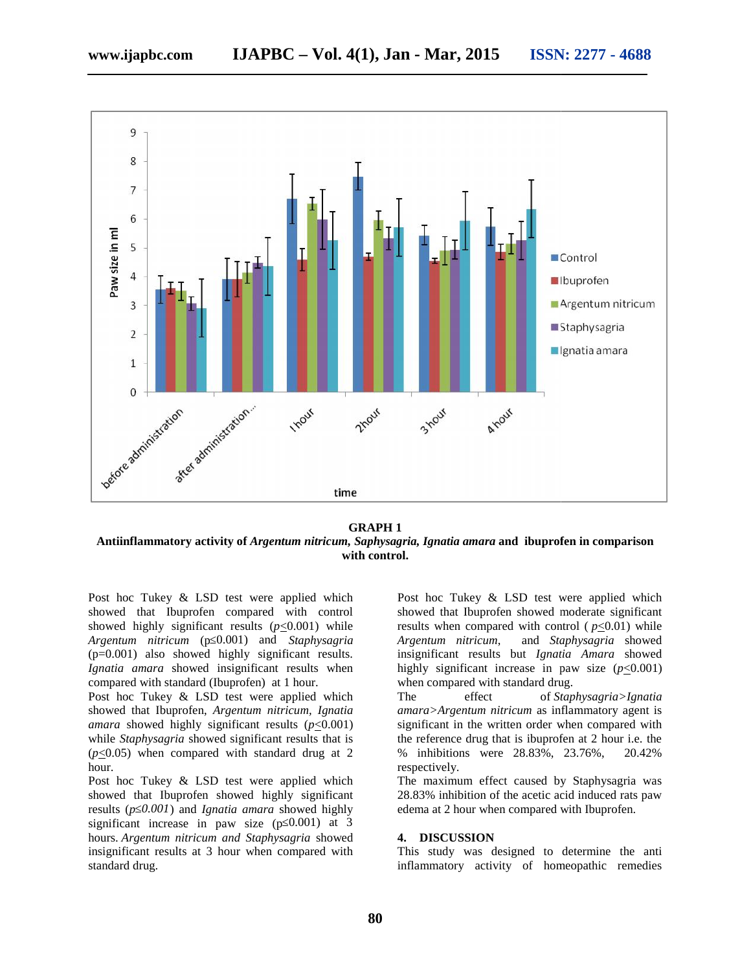

#### **GRAPH 1**

**Antiinflammatory activity of** *Argentum nitricum, Saphysagria, Ignatia amara* **and ibuprofen in comparison ofin with control.**

Post hoc Tukey & LSD test were applied which showed that Ibuprofen compared with control Post hoc Tukey & LSD test were applied which<br>showed that Ibuprofen compared with control<br>showed highly significant results  $(p \le 0.001)$  while *Argentum nitricum* (p≤0.001) and *Staphysagria nitricum* $(p=0.001)$  also showed highly significant results. *Ignatia amara* showed insignificant results when *Ignatia amara*compared with standard (Ibuprofen) at 1 hour. compared with standard (Ibuprofen) at 1 hour.<br>Post hoc Tukey & LSD test were applied which

showed that Ibuprofen, *Argentum nitricum, Ignatia amara* showed highly significant results ( $p \le 0.001$ ) while *Staphysagria* showed significant results that is  $(p \le 0.05)$  when compared with standard drug at 2 hour. hile *Staphysagria* showed significant results the  $\leq$ 0.05) when compared with standard drug our.<br>so thoc Tukey & LSD test were applied vowed that Ibuprofen showed highly significant

Post hoc Tukey & LSD test were applied which showed that Ibuprofen showed highly significant results (*p≤0.001*) and *Ignatia amara* showed highly (*p*) *amara*highly significant increase in paw size ( $p$  0.001) at 3 hours. *Argentum nitricum and Staphysagria* showed *Staphysagria* insignificant results at 3 hour when compared with standard drug. aphysagria showed significant results that is<br>
when compared with standard drug at 2 % inhibitions were 28.83%, 23.76%, 20.42%<br>
respectively.<br>
c Tukey & LSD test were applied which<br>
that Ibuprofen showed highly significant

Post hoc Tukey & LSD test were applied which showed that Ibuprofen showed moderate significant results when compared with control  $(p \le 0.01)$  while<br>*Argentum nitricum*, and *Staphysagria* showed and *Staphysagria* showed insignificant results but *Ignatia Amara* showed highly significant increase in paw size  $(p \le 0.001)$ when compared with standard drug. test were applied which<br>
bout bout of Tukey & LSD test were applied which<br>
compared with control showed that luburofen showed moderate significant<br>
tresults ( $p \le 0.001$ ) while<br>
0.001) and *Staphysagria*<br> *Argentum nitric* 

The effect of *Staphysagria>Ignatia amara>Argentum nitricum* as inflammatory agent is significant in the written order when compared with the reference drug that is ibuprofen at 2 hour i.e. the % inhibitions were 28.83%, 23.76%, 20.42% respectively.

The maximum effect caused by Staphysagria was 28.83% inhibition of the acetic acid induced rats paw edema at 2 hour when compared with Ibuprofen.

#### **4. DISCUSSION**

This study was designed to determine the anti inflammatory activity of homeopathic remedies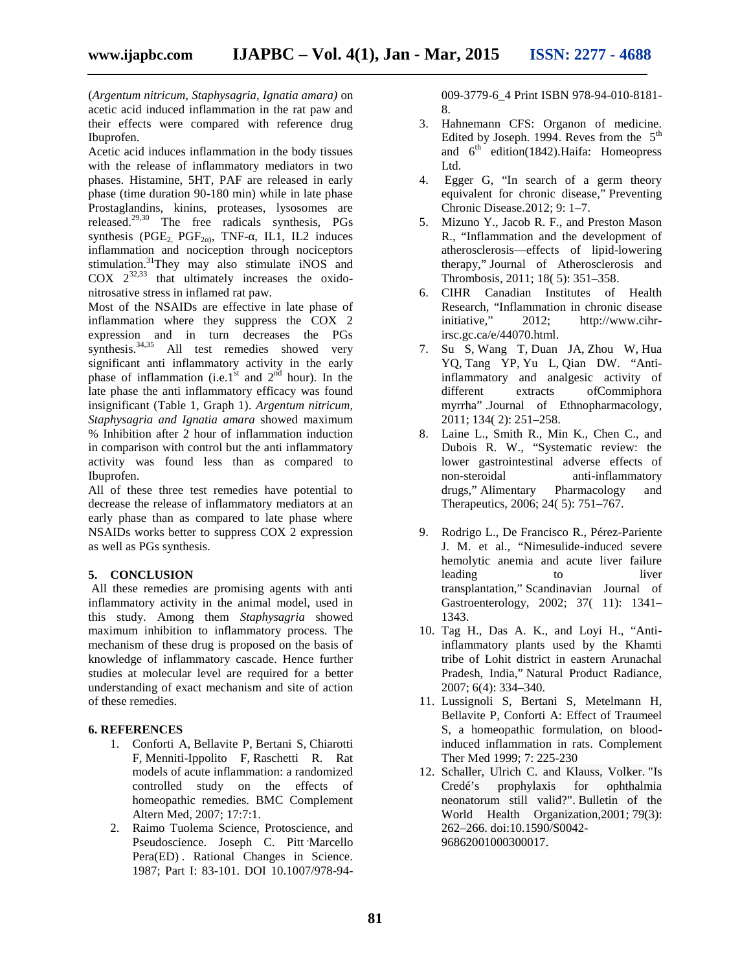(*Argentum nitricum, Staphysagria, Ignatia amara)* on acetic acid induced inflammation in the rat paw and their effects were compared with reference drug Ibuprofen.

Acetic acid induces inflammation in the body tissues with the release of inflammatory mediators in two phases. Histamine, 5HT, PAF are released in early phase (time duration 90-180 min) while in late phase Prostaglandins, kinins, proteases, lysosomes are released.29,30 The free radicals synthesis, PGs synthesis (PGE<sub>2</sub>, PGF<sub>2</sub>), TNF-, IL1, IL2 induces inflammation and nociception through nociceptors stimulation.<sup>31</sup>They may also stimulate iNOS and  $COX$   $2^{32,33}$  that ultimately increases the oxidonitrosative stress in inflamed rat paw.

Most of the NSAIDs are effective in late phase of inflammation where they suppress the COX 2 expression and in turn decreases the PGs synthesis.<sup>34,35</sup> All test remedies showed very significant anti inflammatory activity in the early phase of inflammation (i.e.1st and  $2<sup>nd</sup>$  hour). In the late phase the anti inflammatory efficacy was found insignificant (Table 1, Graph 1). *Argentum nitricum, Staphysagria and Ignatia amara* showed maximum % Inhibition after 2 hour of inflammation induction in comparison with control but the anti inflammatory activity was found less than as compared to Ibuprofen.

All of these three test remedies have potential to decrease the release of inflammatory mediators at an early phase than as compared to late phase where NSAIDs works better to suppress COX 2 expression as well as PGs synthesis.

#### **5. CONCLUSION**

All these remedies are promising agents with anti inflammatory activity in the animal model, used in this study. Among them *Staphysagria* showed maximum inhibition to inflammatory process. The mechanism of these drug is proposed on the basis of knowledge of inflammatory cascade. Hence further studies at molecular level are required for a better understanding of exact mechanism and site of action of these remedies.

#### **6. REFERENCES**

- 1. Conforti A, Bellavite P, Bertani S, Chiarotti F, Menniti-Ippolito F, Raschetti R. Rat models of acute inflammation: a randomized controlled study on the effects of homeopathic remedies. BMC Complement Altern Med, 2007; 17:7:1.
- 2. Raimo Tuolema Science, Protoscience, and Pseudoscience. Joseph C. Pitt Marcello Pera(ED) . Rational Changes in Science. 1987; Part I: 83-101. DOI 10.1007/978-94-

009-3779-6\_4 Print ISBN 978-94-010-8181- 8.

- 3. Hahnemann CFS: Organon of medicine. Edited by Joseph. 1994. Reves from the  $5<sup>th</sup>$ and  $6<sup>th</sup>$  edition(1842). Haifa: Homeopress Ltd.
- 4. Egger G, "In search of a germ theory equivalent for chronic disease," Preventing Chronic Disease.2012; 9: 1–7.
- 5. Mizuno Y., Jacob R. F., and Preston Mason R., "Inflammation and the development of atherosclerosis—effects of lipid-lowering therapy," Journal of Atherosclerosis and Thrombosis, 2011; 18( 5): 351–358.
- 6. CIHR Canadian Institutes of Health Research, "Inflammation in chronic disease initiative," 2012; http://www.cihrirsc.gc.ca/e/44070.html.
- 7. Su S, Wang T, Duan JA, Zhou W, Hua YQ, Tang YP, Yu L, Qian DW. "Antiinflammatory and analgesic activity of different extracts ofCommiphora myrrha" .Journal of Ethnopharmacology, 2011; 134( 2): 251–258.
- 8. Laine L., Smith R., Min K., Chen C., and Dubois R. W., "Systematic review: the lower gastrointestinal adverse effects of non-steroidal anti-inflammatory drugs," Alimentary Pharmacology and Therapeutics, 2006; 24( 5): 751–767.
- 9. Rodrigo L., De Francisco R., Pérez-Pariente J. M. et al., "Nimesulide-induced severe hemolytic anemia and acute liver failure leading to liver transplantation," Scandinavian Journal of Gastroenterology, 2002; 37( 11): 1341– 1343.
- 10. Tag H., Das A. K., and Loyi H., "Antiinflammatory plants used by the Khamti tribe of Lohit district in eastern Arunachal Pradesh, India," Natural Product Radiance, 2007; 6(4): 334–340.
- 11. Lussignoli S, Bertani S, Metelmann H, Bellavite P, Conforti A: Effect of Traumeel S, a homeopathic formulation, on bloodinduced inflammation in rats. Complement Ther Med 1999; 7: 225-230
- 12. Schaller, Ulrich C. and Klauss, Volker. "Is Credé's prophylaxis for ophthalmia neonatorum still valid?". Bulletin of the World Health Organization,2001; 79(3): 262–266. doi:10.1590/S0042- 96862001000300017.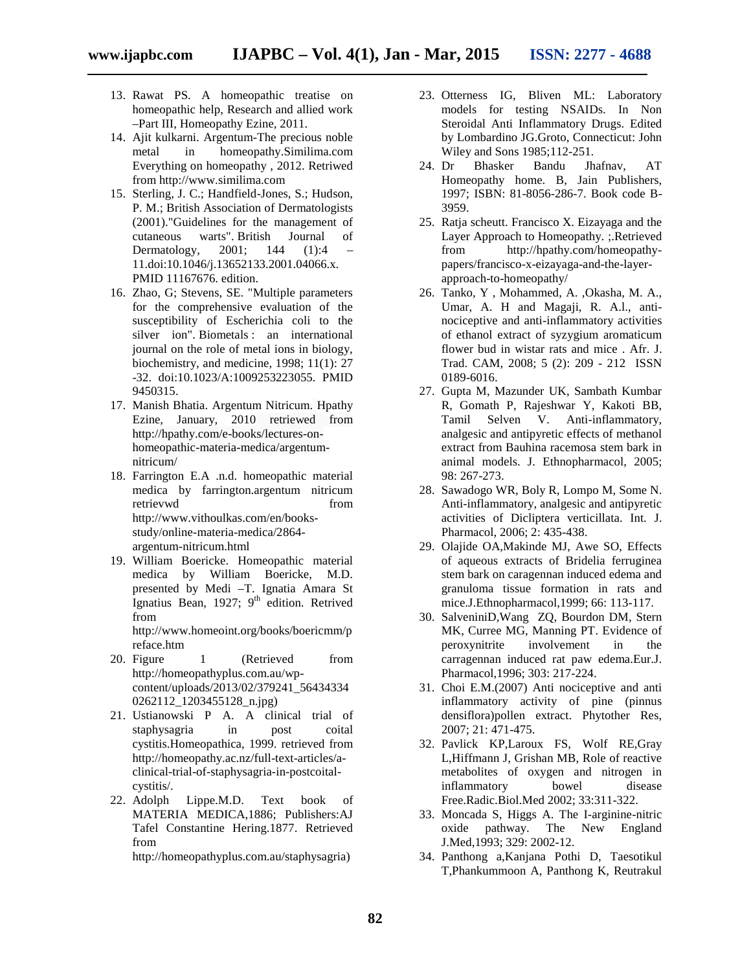- 13. Rawat PS. A homeopathic treatise on homeopathic help, Research and allied work –Part III, Homeopathy Ezine, 2011.
- 14. Ajit kulkarni. Argentum-The precious noble metal in homeopathy.Similima.com Everything on homeopathy , 2012. Retriwed from http://www.similima.com
- 15. Sterling, J. C.; Handfield-Jones, S.; Hudson, P. M.; British Association of Dermatologists (2001)."Guidelines for the management of cutaneous warts". British Journal of Dermatology, 2001; 144 (1):4 – 11.doi:10.1046/j.13652133.2001.04066.x. PMID 11167676. edition.
- 16. Zhao, G; Stevens, SE. "Multiple parameters for the comprehensive evaluation of the susceptibility of Escherichia coli to the silver ion". Biometals : an international journal on the role of metal ions in biology, biochemistry, and medicine, 1998; 11(1): 27 -32. doi:10.1023/A:1009253223055. PMID 9450315.
- 17. Manish Bhatia. Argentum Nitricum. Hpathy Ezine, January, 2010 retriewed from http://hpathy.com/e-books/lectures-on homeopathic-materia-medica/argentum nitricum/
- 18. Farrington E.A .n.d. homeopathic material medica by farrington.argentum nitricum retrievwd from http://www.vithoulkas.com/en/books study/online-materia-medica/2864 argentum-nitricum.html
- 19. William Boericke. Homeopathic material medica by William Boericke, M.D. presented by Medi –T. Ignatia Amara St Ignatius Bean, 1927; 9<sup>th</sup> edition. Retrived from

http://www.homeoint.org/books/boericmm/p reface.htm

- 20. Figure 1 (Retrieved from http://homeopathyplus.com.au/wp content/uploads/2013/02/379241\_56434334 0262112\_1203455128\_n.jpg)
- 21. Ustianowski P A. A clinical trial of staphysagria in post coital cystitis.Homeopathica, 1999. retrieved from http://homeopathy.ac.nz/full-text-articles/a clinical-trial-of-staphysagria-in-postcoital cystitis/.
- 22. Adolph Lippe.M.D. Text book of MATERIA MEDICA,1886; Publishers:AJ Tafel Constantine Hering.1877. Retrieved from

http://homeopathyplus.com.au/staphysagria)

- 23. Otterness IG, Bliven ML: Laboratory models for testing NSAIDs. In Non Steroidal Anti Inflammatory Drugs. Edited by Lombardino JG.Groto, Connecticut: John Wiley and Sons 1985;112-251.
- 24. Dr Bhasker Bandu Jhafnav, AT Homeopathy home. B, Jain Publishers, 1997; ISBN: 81-8056-286-7. Book code B- 3959.
- 25. Ratja scheutt. Francisco X. Eizayaga and the Layer Approach to Homeopathy. ;.Retrieved from http://hpathy.com/homeopathy papers/francisco-x-eizayaga-and-the-layer approach-to-homeopathy/
- 26. Tanko, Y , Mohammed, A. ,Okasha, M. A., Umar, A. H and Magaji, R. A.l., anti nociceptive and anti-inflammatory activities of ethanol extract of syzygium aromaticum flower bud in wistar rats and mice . Afr. J. Trad. CAM, 2008; 5 (2): 209 - 212 ISSN 0189-6016.
- 27. Gupta M, Mazunder UK, Sambath Kumbar R, Gomath P, Rajeshwar Y, Kakoti BB, Tamil Selven V. Anti-inflammatory, analgesic and antipyretic effects of methanol extract from Bauhina racemosa stem bark in animal models. J. Ethnopharmacol, 2005; 98: 267-273.
- 28. Sawadogo WR, Boly R, Lompo M, Some N. Anti-inflammatory, analgesic and antipyretic activities of Dicliptera verticillata. Int. J. Pharmacol, 2006; 2: 435-438.
- 29. Olajide OA,Makinde MJ, Awe SO, Effects of aqueous extracts of Bridelia ferruginea stem bark on caragennan induced edema and granuloma tissue formation in rats and mice.J.Ethnopharmacol,1999; 66: 113-117.
- 30. SalveniniD,Wang ZQ, Bourdon DM, Stern MK, Curree MG, Manning PT. Evidence of peroxynitrite involvement in the carragennan induced rat paw edema.Eur.J. Pharmacol,1996; 303: 217-224.
- 31. Choi E.M.(2007) Anti nociceptive and anti inflammatory activity of pine (pinnus densiflora)pollen extract. Phytother Res, 2007; 21: 471-475.
- 32. Pavlick KP,Laroux FS, Wolf RE,Gray L,Hiffmann J, Grishan MB, Role of reactive metabolites of oxygen and nitrogen in inflammatory bowel disease Free.Radic.Biol.Med 2002; 33:311-322.
- 33. Moncada S, Higgs A. The I-arginine-nitric oxide pathway. The New England J.Med,1993; 329: 2002-12.
- 34. Panthong a,Kanjana Pothi D, Taesotikul T,Phankummoon A, Panthong K, Reutrakul